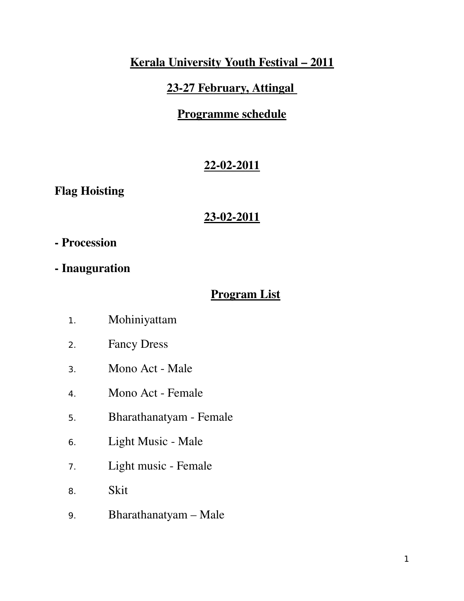# Kerala University Youth Festival – 2011

## 23-27 February, Attingal

# Programme schedule

# 22-02-2011

Flag Hoisting

### 23-02-2011

### Procession

- Inauguration

# Program List

- 1. Mohiniyattam
- 2. Fancy Dress
- 3. Mono Act Male
- 4. Mono Act Female
- 5. Bharathanatyam Female
- 6. Light Music Male
- 7. Light music Female
- 8. Skit
- 9. Bharathanatyam Male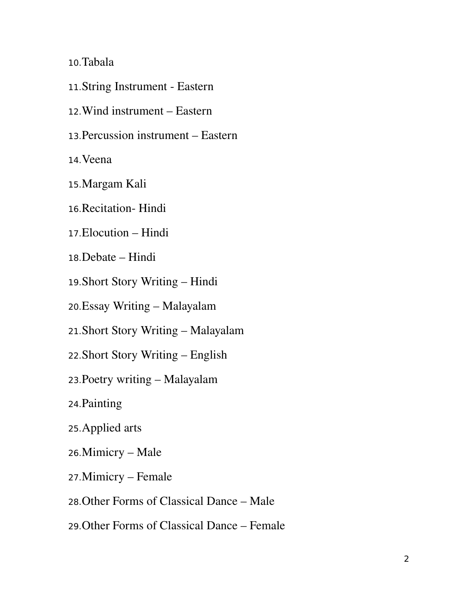10.Tabala

- 11. String Instrument Eastern
- 12.Wind instrument Eastern
- 13.Percussion instrument Eastern

14.Veena

- 15.Margam Kali
- 16. Recitation Hindi
- 17.Elocution Hindi
- 18.Debate Hindi
- 19.Short Story Writing Hindi
- 20.Essay Writing Malayalam
- 21.Short Story Writing Malayalam
- 22.Short Story Writing English
- 23.Poetry writing Malayalam
- 24.Painting
- 25.Applied arts
- 26.Mimicry Male
- 27.Mimicry Female
- 28.Other Forms of Classical Dance Male
- 29.Other Forms of Classical Dance Female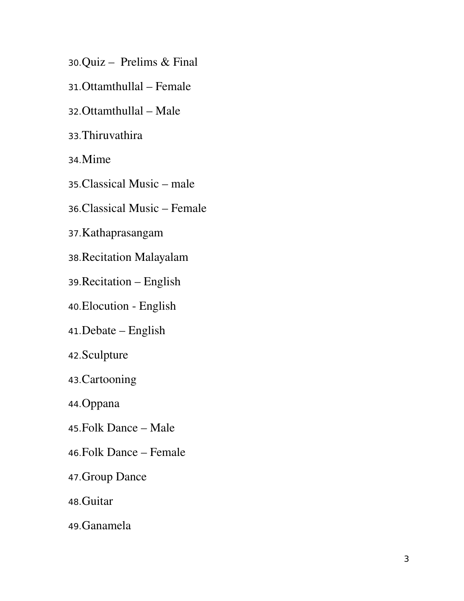- 30.Quiz Prelims & Final
- 31.Ottamthullal Female
- 32.Ottamthullal Male
- 33.Thiruvathira
- 34.Mime
- 35.Classical Music male
- 36.Classical Music Female
- 37.Kathaprasangam
- 38.Recitation Malayalam
- 39.Recitation English
- 40. Elocution English
- 41.Debate English
- 42.Sculpture
- 43.Cartooning
- 44.Oppana
- 45.Folk Dance Male
- 46.Folk Dance Female
- 47.Group Dance
- 48.Guitar
- 49.Ganamela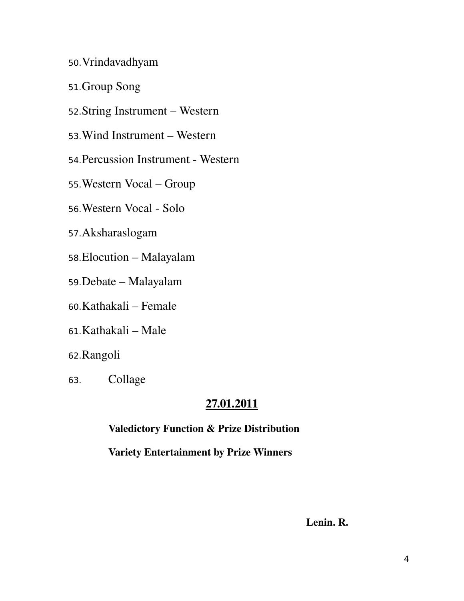- 50.Vrindavadhyam
- 51.Group Song
- 52.String Instrument Western
- 53.Wind Instrument Western
- 54. Percussion Instrument Western
- 55.Western Vocal Group
- 56. Western Vocal Solo
- 57.Aksharaslogam
- 58.Elocution Malayalam
- 59.Debate Malayalam
- 60.Kathakali Female
- 61.Kathakali Male
- 62.Rangoli
- 63. Collage

#### 27.01.2011

Valedictory Function & Prize Distribution

Variety Entertainment by Prize Winners

Lenin. R.